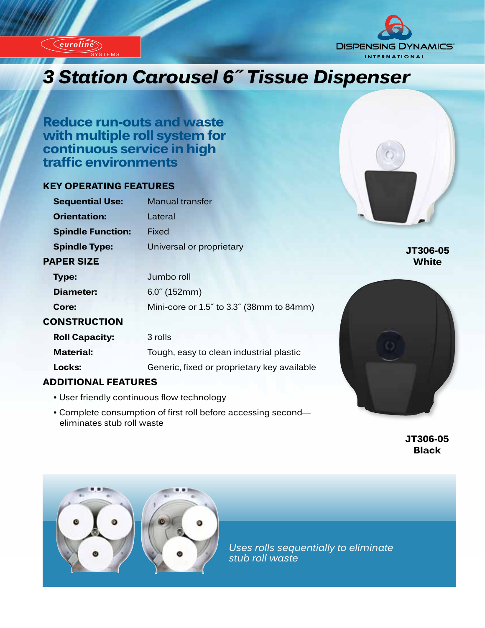*euroline*

SYSTEMS

*euroline*



# *Innovation Carousel 6" Tissue Dispenser*

**Reduce run-outs and waste with multiple roll system for continuous service in high traffic environments**

# **KEY OPERATING FEATURES**

| <b>Sequential Use:</b>   | <b>Manual transfer</b>                   |
|--------------------------|------------------------------------------|
| <b>Orientation:</b>      | Lateral                                  |
| <b>Spindle Function:</b> | Fixed                                    |
| <b>Spindle Type:</b>     | Universal or proprietary                 |
| <b>PAPER SIZE</b>        |                                          |
| <b>Type:</b>             | Jumbo roll                               |
| Diameter:                | $6.0^{\circ}$ (152mm)                    |
| Core:                    | Mini-core or 1.5" to 3.3" (38mm to 84mm) |
| <b>CONSTRUCTION</b>      |                                          |
| <b>Roll Capacity:</b>    | 3 rolls                                  |
| <b>Material:</b>         | Tough, easy to clean industrial plastic  |

#### **ADDITIONAL FEATURES**

- User friendly continuous flow technology
- Complete consumption of first roll before accessing second eliminates stub roll waste

**Locks:** Generic, fixed or proprietary key available



 **JT306-05 Black**

**JT306-05 White**



*Uses rolls sequentially to eliminate stub roll waste*